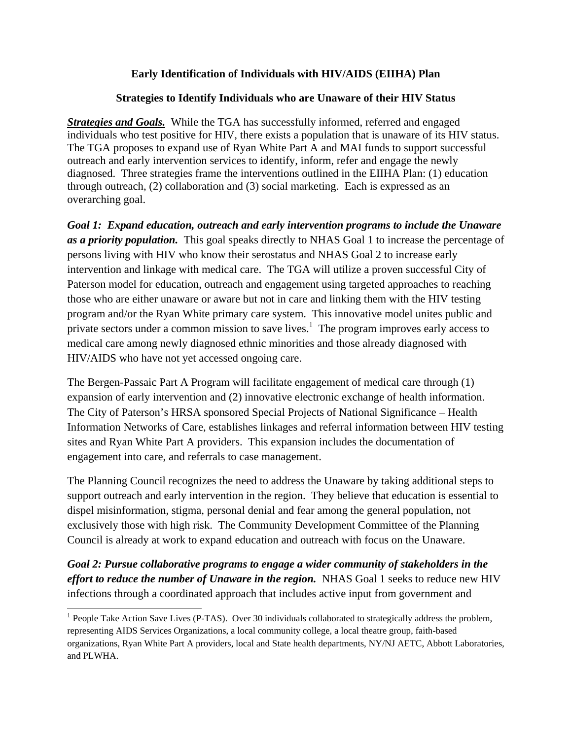## **Early Identification of Individuals with HIV/AIDS (EIIHA) Plan**

## **Strategies to Identify Individuals who are Unaware of their HIV Status**

*Strategies and Goals.* While the TGA has successfully informed, referred and engaged individuals who test positive for HIV, there exists a population that is unaware of its HIV status. The TGA proposes to expand use of Ryan White Part A and MAI funds to support successful outreach and early intervention services to identify, inform, refer and engage the newly diagnosed. Three strategies frame the interventions outlined in the EIIHA Plan: (1) education through outreach, (2) collaboration and (3) social marketing. Each is expressed as an overarching goal.

*Goal 1: Expand education, outreach and early intervention programs to include the Unaware as a priority population.* This goal speaks directly to NHAS Goal 1 to increase the percentage of persons living with HIV who know their serostatus and NHAS Goal 2 to increase early intervention and linkage with medical care. The TGA will utilize a proven successful City of Paterson model for education, outreach and engagement using targeted approaches to reaching those who are either unaware or aware but not in care and linking them with the HIV testing program and/or the Ryan White primary care system. This innovative model unites public and private sectors under a common mission to save lives.<sup>1</sup> The program improves early access to medical care among newly diagnosed ethnic minorities and those already diagnosed with HIV/AIDS who have not yet accessed ongoing care.

The Bergen-Passaic Part A Program will facilitate engagement of medical care through (1) expansion of early intervention and (2) innovative electronic exchange of health information. The City of Paterson's HRSA sponsored Special Projects of National Significance – Health Information Networks of Care, establishes linkages and referral information between HIV testing sites and Ryan White Part A providers. This expansion includes the documentation of engagement into care, and referrals to case management.

The Planning Council recognizes the need to address the Unaware by taking additional steps to support outreach and early intervention in the region. They believe that education is essential to dispel misinformation, stigma, personal denial and fear among the general population, not exclusively those with high risk. The Community Development Committee of the Planning Council is already at work to expand education and outreach with focus on the Unaware.

*Goal 2: Pursue collaborative programs to engage a wider community of stakeholders in the effort to reduce the number of Unaware in the region.* NHAS Goal 1 seeks to reduce new HIV infections through a coordinated approach that includes active input from government and

<sup>&</sup>lt;sup>1</sup> People Take Action Save Lives (P-TAS). Over 30 individuals collaborated to strategically address the problem, representing AIDS Services Organizations, a local community college, a local theatre group, faith-based organizations, Ryan White Part A providers, local and State health departments, NY/NJ AETC, Abbott Laboratories, and PLWHA.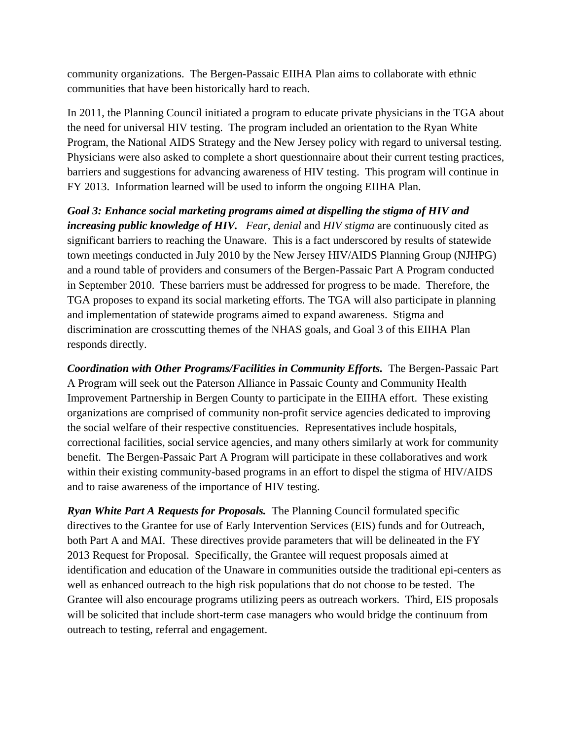community organizations. The Bergen-Passaic EIIHA Plan aims to collaborate with ethnic communities that have been historically hard to reach.

In 2011, the Planning Council initiated a program to educate private physicians in the TGA about the need for universal HIV testing. The program included an orientation to the Ryan White Program, the National AIDS Strategy and the New Jersey policy with regard to universal testing. Physicians were also asked to complete a short questionnaire about their current testing practices, barriers and suggestions for advancing awareness of HIV testing. This program will continue in FY 2013. Information learned will be used to inform the ongoing EIIHA Plan.

*Goal 3: Enhance social marketing programs aimed at dispelling the stigma of HIV and increasing public knowledge of HIV. Fear*, *denial* and *HIV stigma* are continuously cited as significant barriers to reaching the Unaware. This is a fact underscored by results of statewide town meetings conducted in July 2010 by the New Jersey HIV/AIDS Planning Group (NJHPG) and a round table of providers and consumers of the Bergen-Passaic Part A Program conducted in September 2010. These barriers must be addressed for progress to be made. Therefore, the TGA proposes to expand its social marketing efforts. The TGA will also participate in planning and implementation of statewide programs aimed to expand awareness. Stigma and discrimination are crosscutting themes of the NHAS goals, and Goal 3 of this EIIHA Plan responds directly.

*Coordination with Other Programs/Facilities in Community Efforts.* The Bergen-Passaic Part A Program will seek out the Paterson Alliance in Passaic County and Community Health Improvement Partnership in Bergen County to participate in the EIIHA effort. These existing organizations are comprised of community non-profit service agencies dedicated to improving the social welfare of their respective constituencies. Representatives include hospitals, correctional facilities, social service agencies, and many others similarly at work for community benefit. The Bergen-Passaic Part A Program will participate in these collaboratives and work within their existing community-based programs in an effort to dispel the stigma of HIV/AIDS and to raise awareness of the importance of HIV testing.

*Ryan White Part A Requests for Proposals.* The Planning Council formulated specific directives to the Grantee for use of Early Intervention Services (EIS) funds and for Outreach, both Part A and MAI. These directives provide parameters that will be delineated in the FY 2013 Request for Proposal. Specifically, the Grantee will request proposals aimed at identification and education of the Unaware in communities outside the traditional epi-centers as well as enhanced outreach to the high risk populations that do not choose to be tested. The Grantee will also encourage programs utilizing peers as outreach workers. Third, EIS proposals will be solicited that include short-term case managers who would bridge the continuum from outreach to testing, referral and engagement.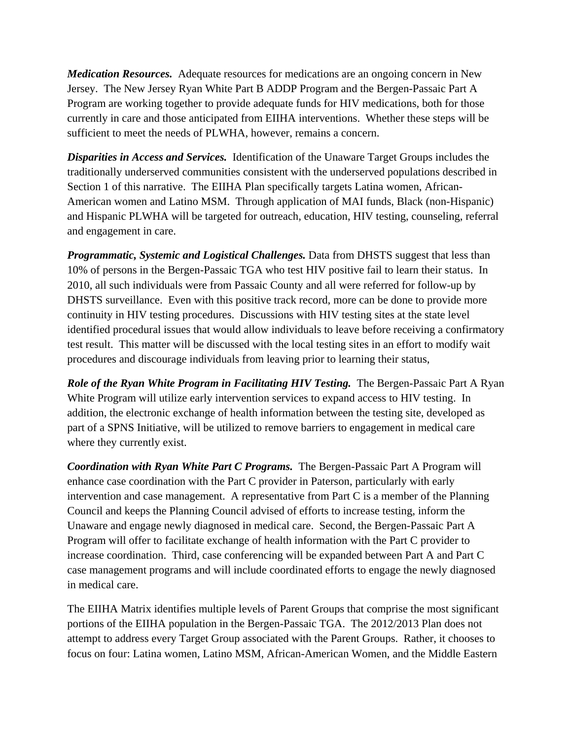*Medication Resources.* Adequate resources for medications are an ongoing concern in New Jersey. The New Jersey Ryan White Part B ADDP Program and the Bergen-Passaic Part A Program are working together to provide adequate funds for HIV medications, both for those currently in care and those anticipated from EIIHA interventions. Whether these steps will be sufficient to meet the needs of PLWHA, however, remains a concern.

*Disparities in Access and Services.* Identification of the Unaware Target Groups includes the traditionally underserved communities consistent with the underserved populations described in Section 1 of this narrative. The EIIHA Plan specifically targets Latina women, African-American women and Latino MSM. Through application of MAI funds, Black (non-Hispanic) and Hispanic PLWHA will be targeted for outreach, education, HIV testing, counseling, referral and engagement in care.

*Programmatic, Systemic and Logistical Challenges.* Data from DHSTS suggest that less than 10% of persons in the Bergen-Passaic TGA who test HIV positive fail to learn their status. In 2010, all such individuals were from Passaic County and all were referred for follow-up by DHSTS surveillance. Even with this positive track record, more can be done to provide more continuity in HIV testing procedures. Discussions with HIV testing sites at the state level identified procedural issues that would allow individuals to leave before receiving a confirmatory test result. This matter will be discussed with the local testing sites in an effort to modify wait procedures and discourage individuals from leaving prior to learning their status,

*Role of the Ryan White Program in Facilitating HIV Testing.* The Bergen-Passaic Part A Ryan White Program will utilize early intervention services to expand access to HIV testing. In addition, the electronic exchange of health information between the testing site, developed as part of a SPNS Initiative, will be utilized to remove barriers to engagement in medical care where they currently exist.

*Coordination with Ryan White Part C Programs.* The Bergen-Passaic Part A Program will enhance case coordination with the Part C provider in Paterson, particularly with early intervention and case management. A representative from Part C is a member of the Planning Council and keeps the Planning Council advised of efforts to increase testing, inform the Unaware and engage newly diagnosed in medical care. Second, the Bergen-Passaic Part A Program will offer to facilitate exchange of health information with the Part C provider to increase coordination. Third, case conferencing will be expanded between Part A and Part C case management programs and will include coordinated efforts to engage the newly diagnosed in medical care.

The EIIHA Matrix identifies multiple levels of Parent Groups that comprise the most significant portions of the EIIHA population in the Bergen-Passaic TGA. The 2012/2013 Plan does not attempt to address every Target Group associated with the Parent Groups. Rather, it chooses to focus on four: Latina women, Latino MSM, African-American Women, and the Middle Eastern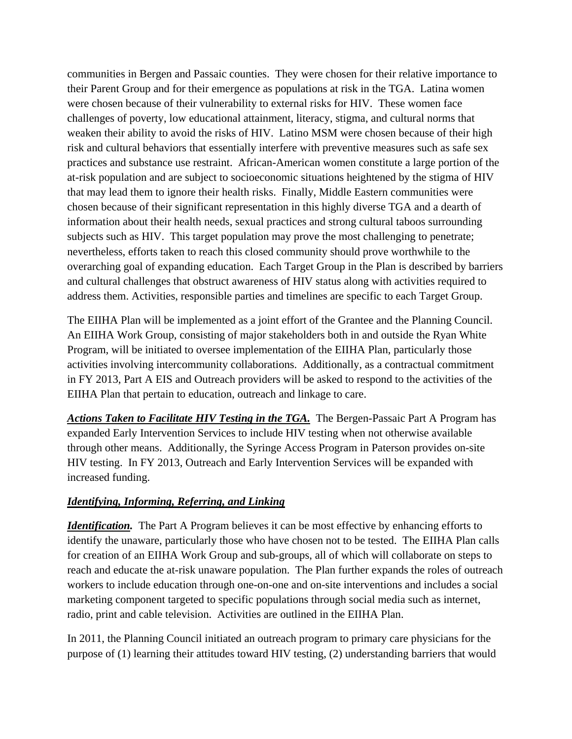communities in Bergen and Passaic counties. They were chosen for their relative importance to their Parent Group and for their emergence as populations at risk in the TGA. Latina women were chosen because of their vulnerability to external risks for HIV. These women face challenges of poverty, low educational attainment, literacy, stigma, and cultural norms that weaken their ability to avoid the risks of HIV. Latino MSM were chosen because of their high risk and cultural behaviors that essentially interfere with preventive measures such as safe sex practices and substance use restraint. African-American women constitute a large portion of the at-risk population and are subject to socioeconomic situations heightened by the stigma of HIV that may lead them to ignore their health risks. Finally, Middle Eastern communities were chosen because of their significant representation in this highly diverse TGA and a dearth of information about their health needs, sexual practices and strong cultural taboos surrounding subjects such as HIV. This target population may prove the most challenging to penetrate; nevertheless, efforts taken to reach this closed community should prove worthwhile to the overarching goal of expanding education. Each Target Group in the Plan is described by barriers and cultural challenges that obstruct awareness of HIV status along with activities required to address them. Activities, responsible parties and timelines are specific to each Target Group.

The EIIHA Plan will be implemented as a joint effort of the Grantee and the Planning Council. An EIIHA Work Group, consisting of major stakeholders both in and outside the Ryan White Program, will be initiated to oversee implementation of the EIIHA Plan, particularly those activities involving intercommunity collaborations. Additionally, as a contractual commitment in FY 2013, Part A EIS and Outreach providers will be asked to respond to the activities of the EIIHA Plan that pertain to education, outreach and linkage to care.

*Actions Taken to Facilitate HIV Testing in the TGA.* The Bergen-Passaic Part A Program has expanded Early Intervention Services to include HIV testing when not otherwise available through other means. Additionally, the Syringe Access Program in Paterson provides on-site HIV testing. In FY 2013, Outreach and Early Intervention Services will be expanded with increased funding.

## *Identifying, Informing, Referring, and Linking*

*Identification*. The Part A Program believes it can be most effective by enhancing efforts to identify the unaware, particularly those who have chosen not to be tested. The EIIHA Plan calls for creation of an EIIHA Work Group and sub-groups, all of which will collaborate on steps to reach and educate the at-risk unaware population. The Plan further expands the roles of outreach workers to include education through one-on-one and on-site interventions and includes a social marketing component targeted to specific populations through social media such as internet, radio, print and cable television. Activities are outlined in the EIIHA Plan.

In 2011, the Planning Council initiated an outreach program to primary care physicians for the purpose of (1) learning their attitudes toward HIV testing, (2) understanding barriers that would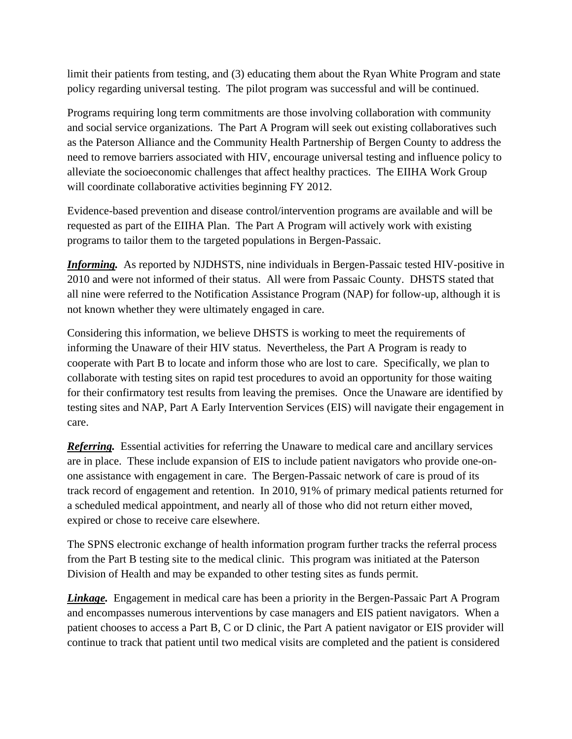limit their patients from testing, and (3) educating them about the Ryan White Program and state policy regarding universal testing. The pilot program was successful and will be continued.

Programs requiring long term commitments are those involving collaboration with community and social service organizations. The Part A Program will seek out existing collaboratives such as the Paterson Alliance and the Community Health Partnership of Bergen County to address the need to remove barriers associated with HIV, encourage universal testing and influence policy to alleviate the socioeconomic challenges that affect healthy practices. The EIIHA Work Group will coordinate collaborative activities beginning FY 2012.

Evidence-based prevention and disease control/intervention programs are available and will be requested as part of the EIIHA Plan. The Part A Program will actively work with existing programs to tailor them to the targeted populations in Bergen-Passaic.

*Informing.* As reported by NJDHSTS, nine individuals in Bergen-Passaic tested HIV-positive in 2010 and were not informed of their status. All were from Passaic County. DHSTS stated that all nine were referred to the Notification Assistance Program (NAP) for follow-up, although it is not known whether they were ultimately engaged in care.

Considering this information, we believe DHSTS is working to meet the requirements of informing the Unaware of their HIV status. Nevertheless, the Part A Program is ready to cooperate with Part B to locate and inform those who are lost to care. Specifically, we plan to collaborate with testing sites on rapid test procedures to avoid an opportunity for those waiting for their confirmatory test results from leaving the premises. Once the Unaware are identified by testing sites and NAP, Part A Early Intervention Services (EIS) will navigate their engagement in care.

*Referring.* Essential activities for referring the Unaware to medical care and ancillary services are in place. These include expansion of EIS to include patient navigators who provide one-onone assistance with engagement in care. The Bergen-Passaic network of care is proud of its track record of engagement and retention. In 2010, 91% of primary medical patients returned for a scheduled medical appointment, and nearly all of those who did not return either moved, expired or chose to receive care elsewhere.

The SPNS electronic exchange of health information program further tracks the referral process from the Part B testing site to the medical clinic. This program was initiated at the Paterson Division of Health and may be expanded to other testing sites as funds permit.

*Linkage.* Engagement in medical care has been a priority in the Bergen-Passaic Part A Program and encompasses numerous interventions by case managers and EIS patient navigators. When a patient chooses to access a Part B, C or D clinic, the Part A patient navigator or EIS provider will continue to track that patient until two medical visits are completed and the patient is considered